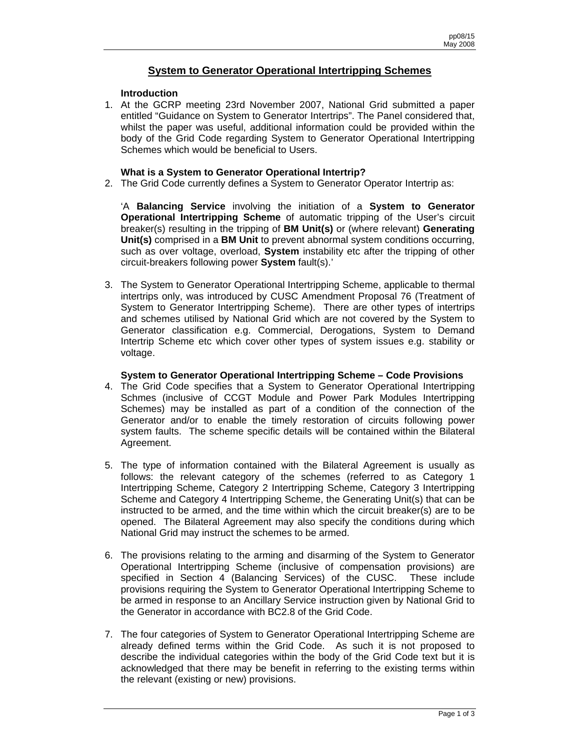# **System to Generator Operational Intertripping Schemes**

### **Introduction**

1. At the GCRP meeting 23rd November 2007, National Grid submitted a paper entitled "Guidance on System to Generator Intertrips". The Panel considered that, whilst the paper was useful, additional information could be provided within the body of the Grid Code regarding System to Generator Operational Intertripping Schemes which would be beneficial to Users.

#### **What is a System to Generator Operational Intertrip?**

2. The Grid Code currently defines a System to Generator Operator Intertrip as:

'A **Balancing Service** involving the initiation of a **System to Generator Operational Intertripping Scheme** of automatic tripping of the User's circuit breaker(s) resulting in the tripping of **BM Unit(s)** or (where relevant) **Generating Unit(s)** comprised in a **BM Unit** to prevent abnormal system conditions occurring, such as over voltage, overload, **System** instability etc after the tripping of other circuit-breakers following power **System** fault(s).'

3. The System to Generator Operational Intertripping Scheme, applicable to thermal intertrips only, was introduced by CUSC Amendment Proposal 76 (Treatment of System to Generator Intertripping Scheme). There are other types of intertrips and schemes utilised by National Grid which are not covered by the System to Generator classification e.g. Commercial, Derogations, System to Demand Intertrip Scheme etc which cover other types of system issues e.g. stability or voltage.

#### **System to Generator Operational Intertripping Scheme – Code Provisions**

- 4. The Grid Code specifies that a System to Generator Operational Intertripping Schmes (inclusive of CCGT Module and Power Park Modules Intertripping Schemes) may be installed as part of a condition of the connection of the Generator and/or to enable the timely restoration of circuits following power system faults. The scheme specific details will be contained within the Bilateral Agreement.
- 5. The type of information contained with the Bilateral Agreement is usually as follows: the relevant category of the schemes (referred to as Category 1 Intertripping Scheme, Category 2 Intertripping Scheme, Category 3 Intertripping Scheme and Category 4 Intertripping Scheme, the Generating Unit(s) that can be instructed to be armed, and the time within which the circuit breaker(s) are to be opened. The Bilateral Agreement may also specify the conditions during which National Grid may instruct the schemes to be armed.
- 6. The provisions relating to the arming and disarming of the System to Generator Operational Intertripping Scheme (inclusive of compensation provisions) are specified in Section 4 (Balancing Services) of the CUSC. These include provisions requiring the System to Generator Operational Intertripping Scheme to be armed in response to an Ancillary Service instruction given by National Grid to the Generator in accordance with BC2.8 of the Grid Code.
- 7. The four categories of System to Generator Operational Intertripping Scheme are already defined terms within the Grid Code. As such it is not proposed to describe the individual categories within the body of the Grid Code text but it is acknowledged that there may be benefit in referring to the existing terms within the relevant (existing or new) provisions.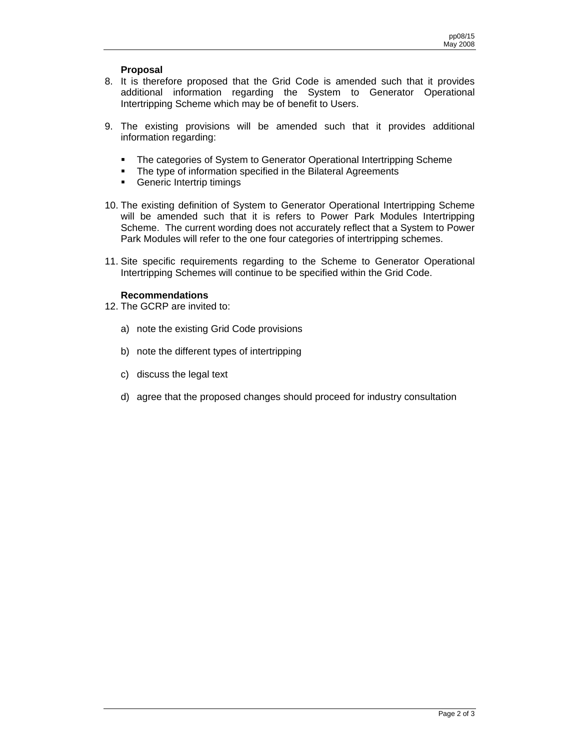## **Proposal**

- 8. It is therefore proposed that the Grid Code is amended such that it provides additional information regarding the System to Generator Operational Intertripping Scheme which may be of benefit to Users.
- 9. The existing provisions will be amended such that it provides additional information regarding:
	- The categories of System to Generator Operational Intertripping Scheme
	- The type of information specified in the Bilateral Agreements
	- **Generic Intertrip timings**
- 10. The existing definition of System to Generator Operational Intertripping Scheme will be amended such that it is refers to Power Park Modules Intertripping Scheme. The current wording does not accurately reflect that a System to Power Park Modules will refer to the one four categories of intertripping schemes.
- 11. Site specific requirements regarding to the Scheme to Generator Operational Intertripping Schemes will continue to be specified within the Grid Code.

### **Recommendations**

- 12. The GCRP are invited to:
	- a) note the existing Grid Code provisions
	- b) note the different types of intertripping
	- c) discuss the legal text
	- d) agree that the proposed changes should proceed for industry consultation